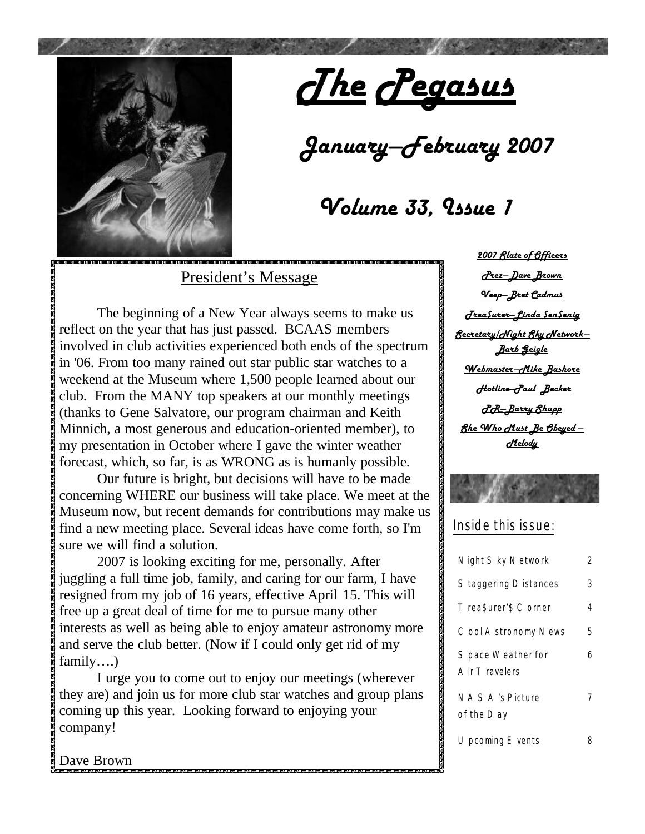

# *January—February 2007*

### *Volume 33, Issue 1*

### President's Message

The beginning of a New Year always seems to make us reflect on the year that has just passed. BCAAS members involved in club activities experienced both ends of the spectrum in '06. From too many rained out star public star watches to a weekend at the Museum where 1,500 people learned about our club. From the MANY top speakers at our monthly meetings (thanks to Gene Salvatore, our program chairman and Keith Minnich, a most generous and education-oriented member), to my presentation in October where I gave the winter weather forecast, which, so far, is as WRONG as is humanly possible.

 Our future is bright, but decisions will have to be made concerning WHERE our business will take place. We meet at the Museum now, but recent demands for contributions may make us find a new meeting place. Several ideas have come forth, so I'm sure we will find a solution.

 2007 is looking exciting for me, personally. After juggling a full time job, family, and caring for our farm, I have resigned from my job of 16 years, effective April 15. This will free up a great deal of time for me to pursue many other interests as well as being able to enjoy amateur astronomy more and serve the club better. (Now if I could only get rid of my family….)

 I urge you to come out to enjoy our meetings (wherever they are) and join us for more club star watches and group plans coming up this year. Looking forward to enjoying your company!

*2007 Slate of Officers Prez—Dave Brown Veep—Bret Cadmus Trea\$urer—Linda \$en\$enig Secretary/Night Sky Network— Barb Geigle Webmaster—Mike Bashore Hotline—Paul Becker PR—Barry Shupp She Who Must Be Obeyed — Melody*

Inside this issue:

| Night Sky Network                     | 2 |
|---------------------------------------|---|
| Staggering Distances                  | 3 |
| Trea\$urer'\$ Corner                  | 4 |
| Cool Astronomy News                   | 5 |
| S pace Weather for<br>A ir T ravelers | 6 |
| <b>NASA's Picture</b><br>of the Day   | 7 |
| Upcoming E vents                      |   |

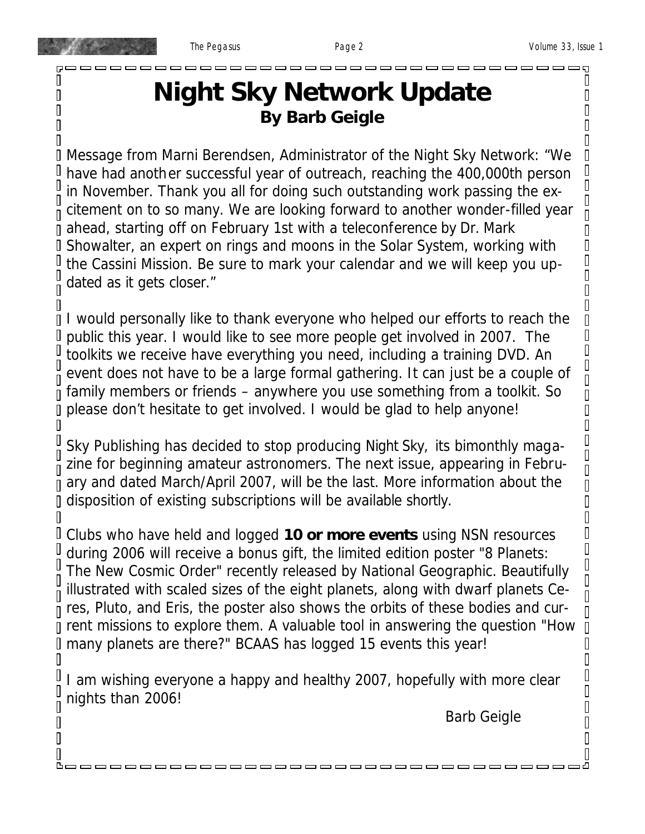П Π

П

 $\overline{\Pi}$ 

 $\overline{\Pi}$ 

 $\overline{\Pi}$ 

П

П

П

Π

П

 $\overline{\Pi}$ 

П

П

П D. O  $\mathbb I$ 

 $\mathbb I$  $\mathbb I$  $\overline{\Pi}$ 

 $\Box$  $\mathbb I$  $\Box$  $\overline{\mathsf{I}}$  $\overline{\mathsf{I}}$ 

 $\Box$  $\begin{matrix} \end{matrix}$  $\Box$  $\overline{\mathsf{I}}$ 

 $\overline{\mathbf{u}}$  $\Box$  $\overline{\mathbf{u}}$  $\Box$  $\Box$  $\mathbb I$  $\begin{matrix} \end{matrix}$  $\overline{\mathbf{u}}$ 

 $\Box$ 

 $\begin{matrix} \end{matrix}$ 

 $\mathbb I$  $\overline{\Pi}$  $\overline{\mathbf{u}}$  $\mathbb I$  $\begin{matrix} \end{matrix}$ 

 $\overline{\mathbf{u}}$ 

 $\overline{\Pi}$  $\mathbb I$  $\mathbb I$  $\overline{\mathbf{u}}$ 

I  $\mathbb I$ 

 $\overline{\Pi}$  $\mathbb I$  $\begin{matrix} \end{matrix}$ 

 $\overline{\mathbb{I}}$  $\overline{\mathbb{I}}$  $\overline{\mathbf{u}}$ 

 $\Box$ 

 $\overline{\Pi}$ 

Π

### **Night Sky Network Update By Barb Geigle**

*Message from Marni Berendsen, Administrator of the Night Sky Network: "We have had another successful year of outreach, reaching the 400,000th person in November. Thank you all for doing such outstanding work passing the excitement on to so many. We are looking forward to another wonder-filled year ahead, starting off on February 1st with a teleconference by Dr. Mark Showalter, an expert on rings and moons in the Solar System, working with the Cassini Mission. Be sure to mark your calendar and we will keep you updated as it gets closer."*

I I would personally like to thank everyone who helped our efforts to reach the public this year. I would like to see more people get involved in 2007. The toolkits we receive have everything you need, including a training DVD. An event does not have to be a large formal gathering. It can just be a couple of family members or friends – anywhere you use something from a toolkit. So please don't hesitate to get involved. I would be glad to help anyone! П

Sky Publishing has decided to stop producing *Night Sky,* its bimonthly magazine for beginning amateur astronomers. The next issue, appearing in February and dated March/April 2007, will be the last. More information about the disposition of existing subscriptions will be available shortly. П

Clubs who have held and logged **10 or more events** using NSN resources during 2006 will receive a bonus gift, the limited edition poster "8 Planets: The New Cosmic Order" recently released by National Geographic. Beautifully illustrated with scaled sizes of the eight planets, along with dwarf planets Ceres, Pluto, and Eris, the poster also shows the orbits of these bodies and current missions to explore them. A valuable tool in answering the question "How many planets are there?" BCAAS has logged 15 events this year!

I am wishing everyone a happy and healthy 2007, hopefully with more clear nights than 2006!

, , , , , , , , , , ,

, , , , , , , , , , , , ,

Barb Geigle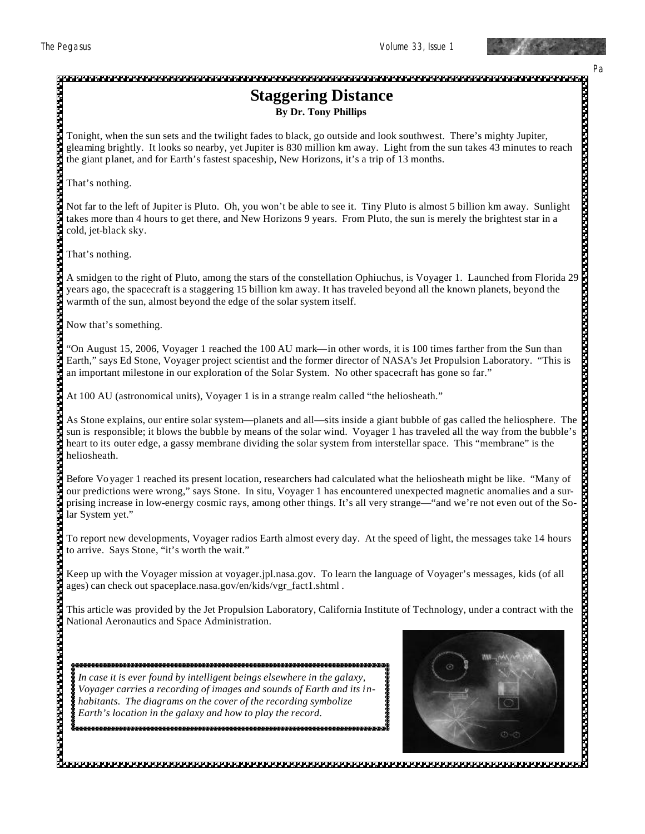

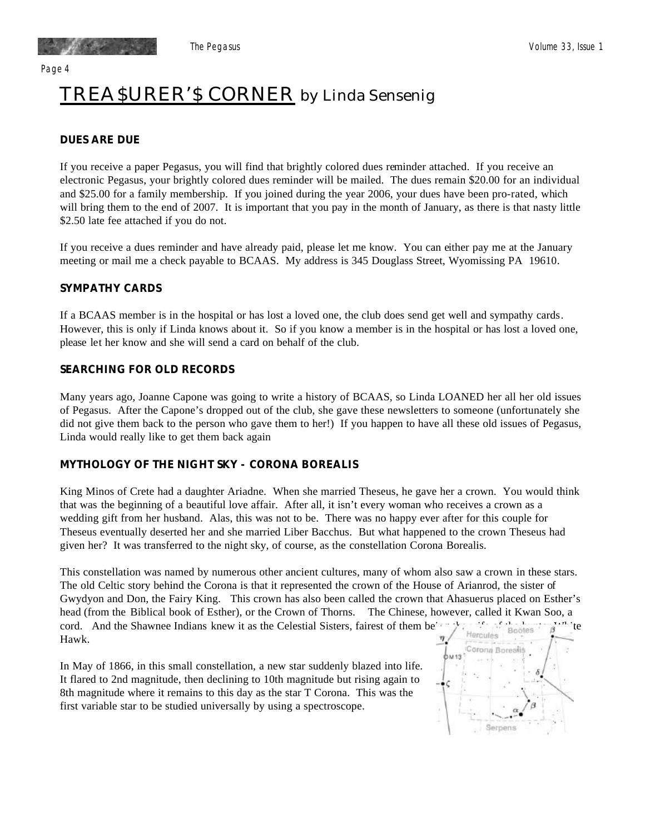Page 4

## TREA\$URER'\$ CORNER by Linda Sensenig

#### *DUES ARE DUE*

If you receive a paper Pegasus, you will find that brightly colored dues reminder attached. If you receive an electronic Pegasus, your brightly colored dues reminder will be mailed. The dues remain \$20.00 for an individual and \$25.00 for a family membership. If you joined during the year 2006, your dues have been pro-rated, which will bring them to the end of 2007. It is important that you pay in the month of January, as there is that nasty little \$2.50 late fee attached if you do not.

If you receive a dues reminder and have already paid, please let me know. You can either pay me at the January meeting or mail me a check payable to BCAAS. My address is 345 Douglass Street, Wyomissing PA 19610.

#### *SYMPATHY CARDS*

If a BCAAS member is in the hospital or has lost a loved one, the club does send get well and sympathy cards. However, this is only if Linda knows about it. So if you know a member is in the hospital or has lost a loved one, please let her know and she will send a card on behalf of the club.

#### *SEARCHING FOR OLD RECORDS*

Many years ago, Joanne Capone was going to write a history of BCAAS, so Linda LOANED her all her old issues of Pegasus. After the Capone's dropped out of the club, she gave these newsletters to someone (unfortunately she did not give them back to the person who gave them to her!) If you happen to have all these old issues of Pegasus, Linda would really like to get them back again

#### *MYTHOLOGY OF THE NIGHT SKY - CORONA BOREALIS*

King Minos of Crete had a daughter Ariadne. When she married Theseus, he gave her a crown. You would think that was the beginning of a beautiful love affair. After all, it isn't every woman who receives a crown as a wedding gift from her husband. Alas, this was not to be. There was no happy ever after for this couple for Theseus eventually deserted her and she married Liber Bacchus. But what happened to the crown Theseus had given her? It was transferred to the night sky, of course, as the constellation Corona Borealis.

This constellation was named by numerous other ancient cultures, many of whom also saw a crown in these stars. The old Celtic story behind the Corona is that it represented the crown of the House of Arianrod, the sister of Gwydyon and Don, the Fairy King. This crown has also been called the crown that Ahasuerus placed on Esther's head (from the Biblical book of Esther), or the Crown of Thorns. The Chinese, however, called it Kwan Soo, a cord. And the Shawnee Indians knew it as the Celestial Sisters, fairest of them being the theories such the Hercules Hawk.

In May of 1866, in this small constellation, a new star suddenly blazed into life. It flared to 2nd magnitude, then declining to 10th magnitude but rising again to 8th magnitude where it remains to this day as the star T Corona. This was the first variable star to be studied universally by using a spectroscope.

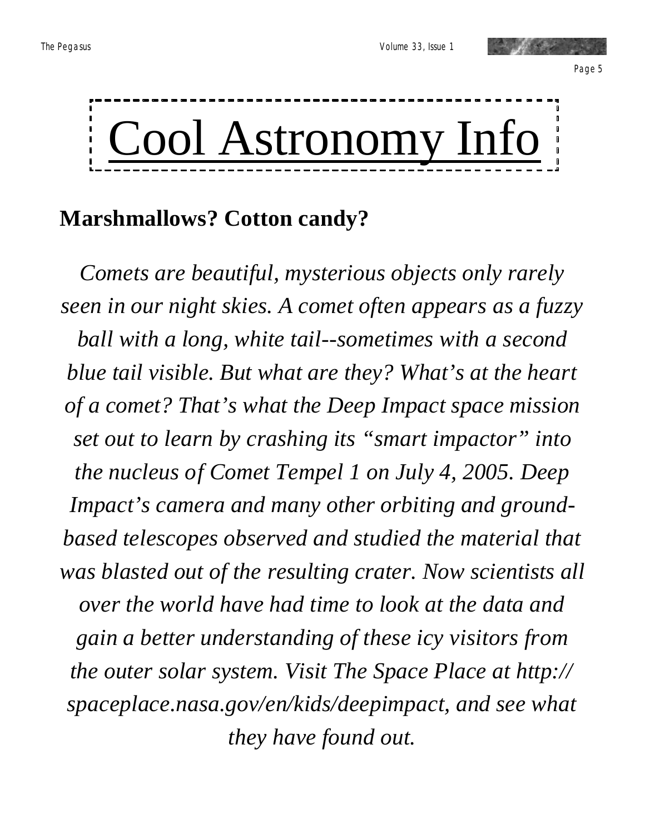

### **Marshmallows? Cotton candy?**

*Comets are beautiful, mysterious objects only rarely seen in our night skies. A comet often appears as a fuzzy ball with a long, white tail--sometimes with a second blue tail visible. But what are they? What's at the heart of a comet? That's what the Deep Impact space mission set out to learn by crashing its "smart impactor" into the nucleus of Comet Tempel 1 on July 4, 2005. Deep Impact's camera and many other orbiting and groundbased telescopes observed and studied the material that was blasted out of the resulting crater. Now scientists all over the world have had time to look at the data and gain a better understanding of these icy visitors from the outer solar system. Visit The Space Place at http:// spaceplace.nasa.gov/en/kids/deepimpact, and see what they have found out.*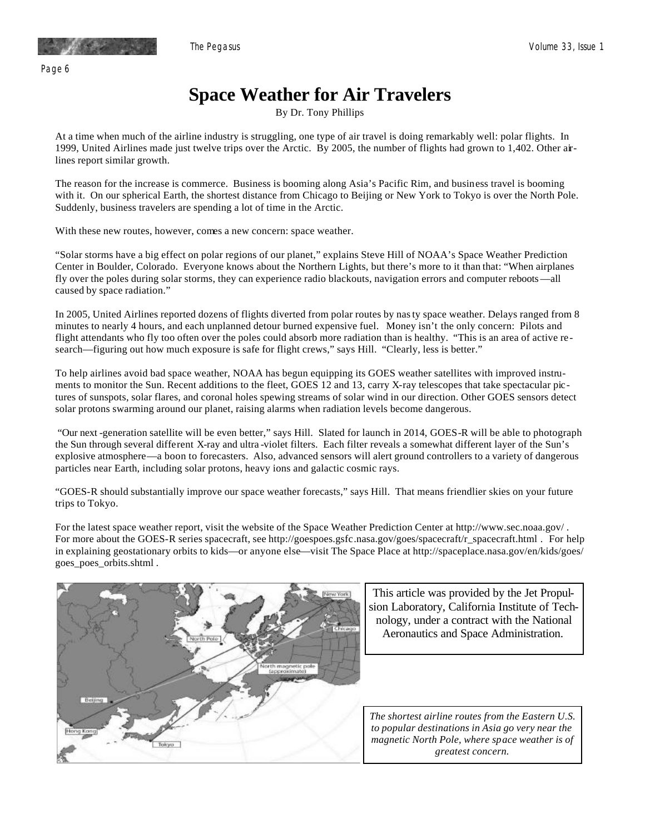Page 6

### **Space Weather for Air Travelers**

By Dr. Tony Phillips

At a time when much of the airline industry is struggling, one type of air travel is doing remarkably well: polar flights. In 1999, United Airlines made just twelve trips over the Arctic. By 2005, the number of flights had grown to 1,402. Other airlines report similar growth.

The reason for the increase is commerce. Business is booming along Asia's Pacific Rim, and business travel is booming with it. On our spherical Earth, the shortest distance from Chicago to Beijing or New York to Tokyo is over the North Pole. Suddenly, business travelers are spending a lot of time in the Arctic.

With these new routes, however, comes a new concern: space weather.

"Solar storms have a big effect on polar regions of our planet," explains Steve Hill of NOAA's Space Weather Prediction EURCH IN DOUGLET, COOT AGO. EVERYONE KNOWS ADOUT THE NOTTHELT EIGHTS, OUT THE S MOTE TO IT THAN THAT THE AMPHANES<br>fly over the poles during solar storms, they can experience radio blackouts, navigation errors and computer caused by space radiation." Center in Boulder, Colorado. Everyone knows about the Northern Lights, but there's more to it than that: "When airplanes

In 2005, United Airlines reported dozens of flights diverted from polar routes by nas ty space weather. Delays ranged from 8 m 2005, onlied Affilmes reported dozens of fights diverted from polar folies by has tyspace weather. Detays ranged from<br>minutes to nearly 4 hours, and each unplanned detour burned expensive fuel. Money isn't the only conce search—figuring out how much exposure is safe for flight crews," says Hill. "Clearly, less is better." flight attendants who fly too often over the poles could absorb more radiation than is healthy. "This is an area of active re-

To help airlines avoid bad space weather, NOAA has begun equipping its GOES weather satellites with improved instruments to monitor the Sun. Recent additions to the fleet, GOES 12 and 13, carry X-ray telescopes that take spectacular pictures of sunspots, solar flares, and coronal holes spewing streams of solar wind in our direction. Other GOES sensors detect solar protons swarming around our planet, raising alarms when radiation levels become dangerous.

"Our next -generation satellite will be even better," says Hill. Slated for launch in 2014, GOES-R will be able to photograph exprosive annosphere—a boon to forceasters. Also, advanced sensors will alch ground controllers to a variety of dangerous particles near Earth, including solar protons, heavy ions and galactic cosmic rays. the Sun through several different X-ray and ultra -violet filters. Each filter reveals a somewhat different layer of the Sun's explosive atmosphere—a boon to forecasters. Also, advanced sensors will alert ground controllers to a variety of dangerous

some of our inactive members come back, and hopefully so that we can add new members to "GOES-R should substantially improve our space weather forecasts," says Hill. That means friendlier skies on your future  $c_{\text{max}}$  and  $c_{\text{max}}$ trips to Tokyo.

For the latest space weather report, visit the website of the Space Weather Prediction Center at http://www.sec.noaa.gov/. For more about the GOES-R series spacecraft, see http://goespoes.gsfc.nasa.gov/goes/spacecraft/r\_spacecraft.html . For help in explaining geostationary orbits to kids—or anyone else—visit The Space Place at http://spaceplace.nasa.gov/en/kids/goes/ goes\_poes\_orbits.shtml .



Aeronautics and Space Administration.

*magnetic North Pole, where space weather is of greatest concern.*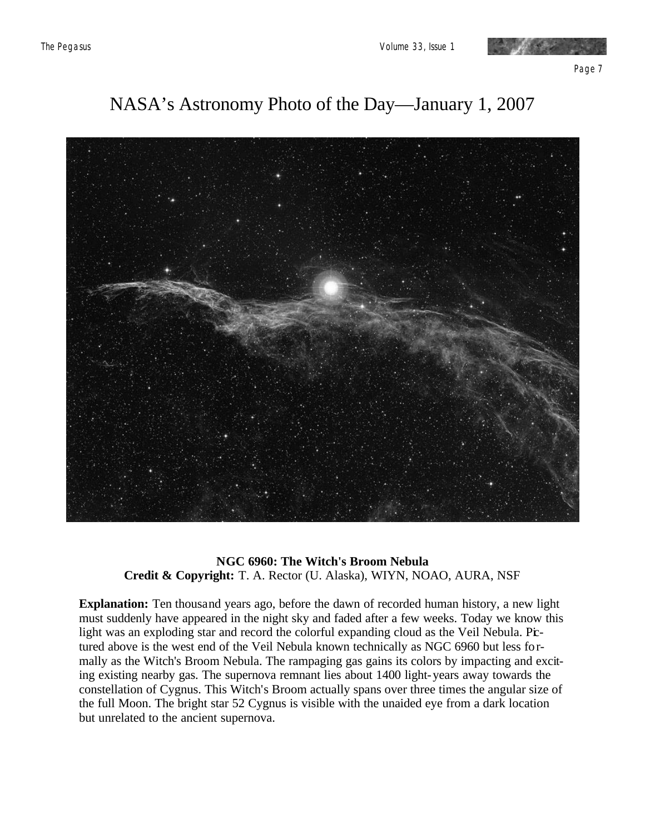

Page 7

### NASA's Astronomy Photo of the Day—January 1, 2007



#### **NGC 6960: The Witch's Broom Nebula Credit & Copyright:** T. A. Rector (U. Alaska), WIYN, NOAO, AURA, NSF

**Explanation:** Ten thousand years ago, before the dawn of recorded human history, a new light must suddenly have appeared in the night sky and faded after a few weeks. Today we know this light was an exploding star and record the colorful expanding cloud as the Veil Nebula. Prtured above is the west end of the Veil Nebula known technically as NGC 6960 but less formally as the Witch's Broom Nebula. The rampaging gas gains its colors by impacting and exciting existing nearby gas. The supernova remnant lies about 1400 light-years away towards the constellation of Cygnus. This Witch's Broom actually spans over three times the angular size of the full Moon. The bright star 52 Cygnus is visible with the unaided eye from a dark location but unrelated to the ancient supernova.